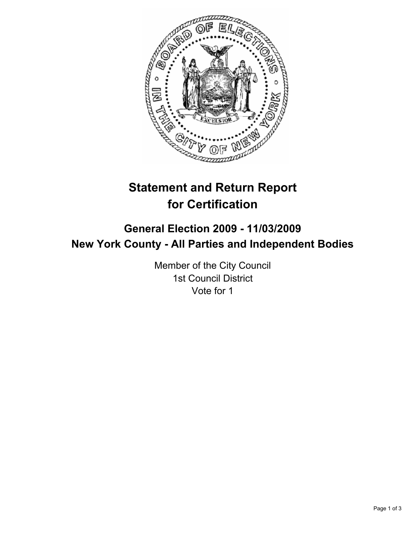

# **Statement and Return Report for Certification**

# **General Election 2009 - 11/03/2009 New York County - All Parties and Independent Bodies**

Member of the City Council 1st Council District Vote for 1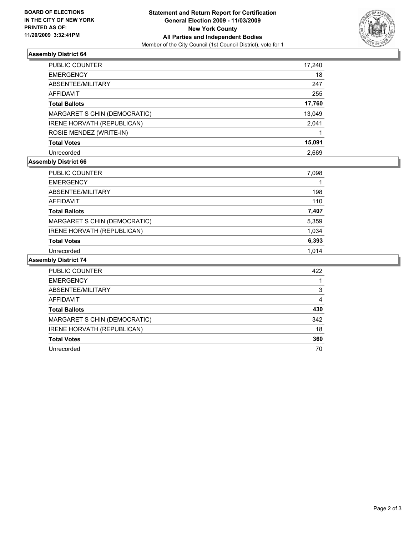

## **Assembly District 64**

| PUBLIC COUNTER               | 17,240 |
|------------------------------|--------|
| <b>EMERGENCY</b>             | 18     |
| ABSENTEE/MILITARY            | 247    |
| <b>AFFIDAVIT</b>             | 255    |
| <b>Total Ballots</b>         | 17,760 |
| MARGARET S CHIN (DEMOCRATIC) | 13,049 |
| IRENE HORVATH (REPUBLICAN)   | 2,041  |
| ROSIE MENDEZ (WRITE-IN)      |        |
| <b>Total Votes</b>           | 15,091 |
| Unrecorded                   | 2.669  |

## **Assembly District 66**

| <b>PUBLIC COUNTER</b>        | 7,098 |
|------------------------------|-------|
| <b>EMERGENCY</b>             |       |
| ABSENTEE/MILITARY            | 198   |
| AFFIDAVIT                    | 110   |
| <b>Total Ballots</b>         | 7,407 |
| MARGARET S CHIN (DEMOCRATIC) | 5,359 |
| IRENE HORVATH (REPUBLICAN)   | 1,034 |
| <b>Total Votes</b>           | 6,393 |
| Unrecorded                   | 1.014 |

## **Assembly District 74**

| <b>PUBLIC COUNTER</b>        | 422 |
|------------------------------|-----|
| <b>EMERGENCY</b>             |     |
| ABSENTEE/MILITARY            | 3   |
| AFFIDAVIT                    | 4   |
| <b>Total Ballots</b>         | 430 |
| MARGARET S CHIN (DEMOCRATIC) | 342 |
| IRENE HORVATH (REPUBLICAN)   | 18  |
| <b>Total Votes</b>           | 360 |
| Unrecorded                   | 70  |